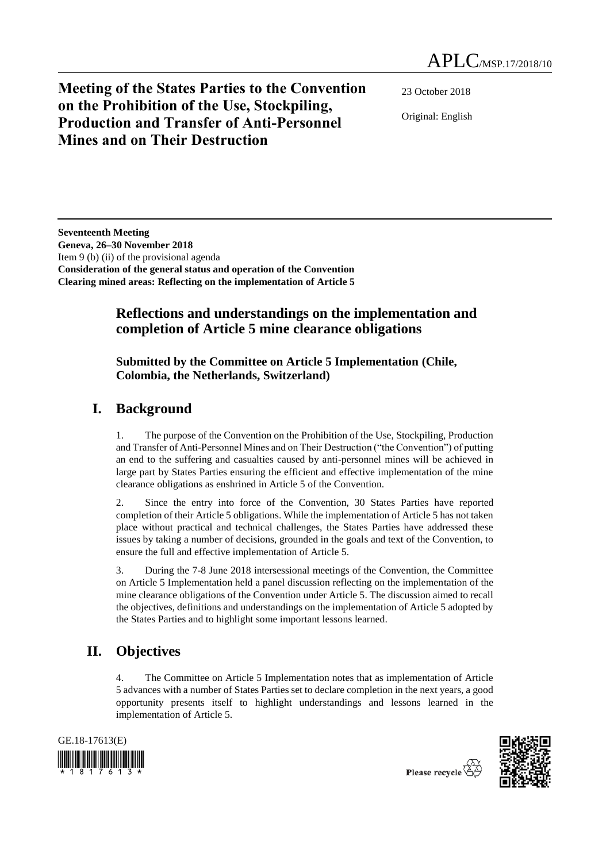**Meeting of the States Parties to the Convention on the Prohibition of the Use, Stockpiling, Production and Transfer of Anti-Personnel Mines and on Their Destruction**

23 October 2018

Original: English

**Seventeenth Meeting Geneva, 26–30 November 2018** Item 9 (b) (ii) of the provisional agenda **Consideration of the general status and operation of the Convention Clearing mined areas: Reflecting on the implementation of Article 5**

## **Reflections and understandings on the implementation and completion of Article 5 mine clearance obligations**

### **Submitted by the Committee on Article 5 Implementation (Chile, Colombia, the Netherlands, Switzerland)**

# **I. Background**

1. The purpose of the Convention on the Prohibition of the Use, Stockpiling, Production and Transfer of Anti-Personnel Mines and on Their Destruction ("the Convention") of putting an end to the suffering and casualties caused by anti-personnel mines will be achieved in large part by States Parties ensuring the efficient and effective implementation of the mine clearance obligations as enshrined in Article 5 of the Convention.

2. Since the entry into force of the Convention, 30 States Parties have reported completion of their Article 5 obligations. While the implementation of Article 5 has not taken place without practical and technical challenges, the States Parties have addressed these issues by taking a number of decisions, grounded in the goals and text of the Convention, to ensure the full and effective implementation of Article 5.

3. During the 7-8 June 2018 intersessional meetings of the Convention, the Committee on Article 5 Implementation held a panel discussion reflecting on the implementation of the mine clearance obligations of the Convention under Article 5. The discussion aimed to recall the objectives, definitions and understandings on the implementation of Article 5 adopted by the States Parties and to highlight some important lessons learned.

# **II. Objectives**

4. The Committee on Article 5 Implementation notes that as implementation of Article 5 advances with a number of States Parties set to declare completion in the next years, a good opportunity presents itself to highlight understandings and lessons learned in the implementation of Article 5.





Please recycle  $\overleftrightarrow{C}$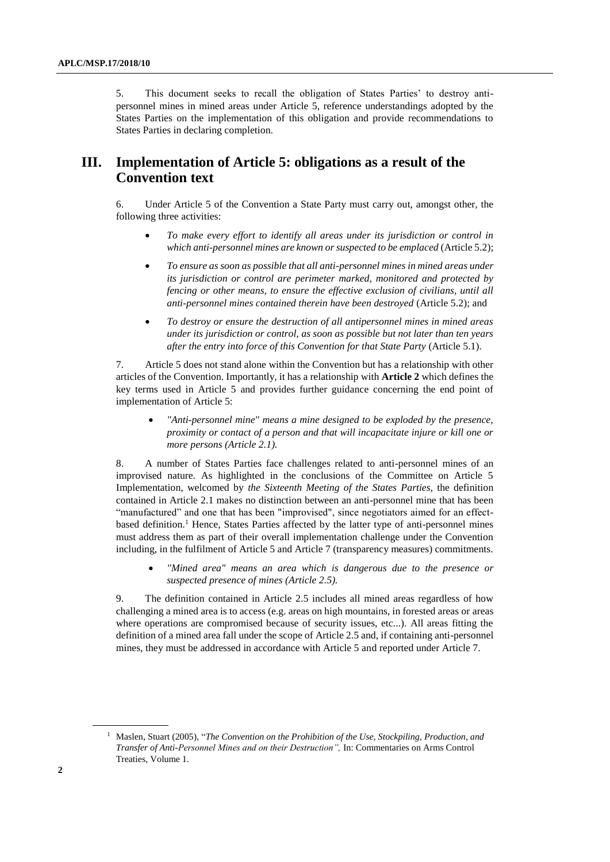5. This document seeks to recall the obligation of States Parties' to destroy antipersonnel mines in mined areas under Article 5, reference understandings adopted by the States Parties on the implementation of this obligation and provide recommendations to States Parties in declaring completion.

## **III. Implementation of Article 5: obligations as a result of the Convention text**

6. Under Article 5 of the Convention a State Party must carry out, amongst other, the following three activities:

- *To make every effort to identify all areas under its jurisdiction or control in which anti-personnel mines are known or suspected to be emplaced* (Article 5.2);
- *To ensure as soon as possible that all anti-personnel mines in mined areas under its jurisdiction or control are perimeter marked, monitored and protected by fencing or other means, to ensure the effective exclusion of civilians, until all anti-personnel mines contained therein have been destroyed* (Article 5.2); and
- *To destroy or ensure the destruction of all antipersonnel mines in mined areas under its jurisdiction or control, as soon as possible but not later than ten years after the entry into force of this Convention for that State Party* (Article 5.1).

7. Article 5 does not stand alone within the Convention but has a relationship with other articles of the Convention. Importantly, it has a relationship with **Article 2** which defines the key terms used in Article 5 and provides further guidance concerning the end point of implementation of Article 5:

 *"Anti-personnel mine" means a mine designed to be exploded by the presence, proximity or contact of a person and that will incapacitate injure or kill one or more persons (Article 2.1).*

8. A number of States Parties face challenges related to anti-personnel mines of an improvised nature. As highlighted in the conclusions of the Committee on Article 5 Implementation, welcomed by *the Sixteenth Meeting of the States Parties,* the definition contained in Article 2.1 makes no distinction between an anti-personnel mine that has been "manufactured" and one that has been "improvised", since negotiators aimed for an effectbased definition.<sup>1</sup> Hence, States Parties affected by the latter type of anti-personnel mines must address them as part of their overall implementation challenge under the Convention including, in the fulfilment of Article 5 and Article 7 (transparency measures) commitments.

 *"Mined area" means an area which is dangerous due to the presence or suspected presence of mines (Article 2.5).*

9. The definition contained in Article 2.5 includes all mined areas regardless of how challenging a mined area is to access (e.g. areas on high mountains, in forested areas or areas where operations are compromised because of security issues, etc...). All areas fitting the definition of a mined area fall under the scope of Article 2.5 and, if containing anti-personnel mines, they must be addressed in accordance with Article 5 and reported under Article 7.

<sup>1</sup> Maslen, Stuart (2005), "*The Convention on the Prohibition of the Use, Stockpiling, Production, and Transfer of Anti-Personnel Mines and on their Destruction",* In: Commentaries on Arms Control Treaties, Volume 1.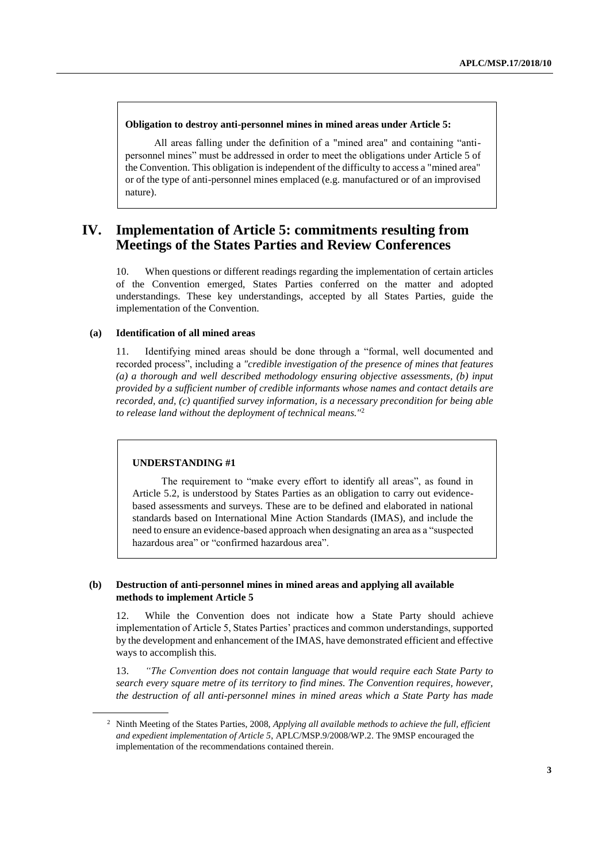#### **Obligation to destroy anti-personnel mines in mined areas under Article 5:**

All areas falling under the definition of a "mined area" and containing "antipersonnel mines" must be addressed in order to meet the obligations under Article 5 of the Convention. This obligation is independent of the difficulty to access a "mined area" or of the type of anti-personnel mines emplaced (e.g. manufactured or of an improvised nature).

### **IV. Implementation of Article 5: commitments resulting from Meetings of the States Parties and Review Conferences**

10. When questions or different readings regarding the implementation of certain articles of the Convention emerged, States Parties conferred on the matter and adopted understandings. These key understandings, accepted by all States Parties, guide the implementation of the Convention.

#### **(a) Identification of all mined areas**

11. Identifying mined areas should be done through a "formal, well documented and recorded process", including a *"credible investigation of the presence of mines that features (a) a thorough and well described methodology ensuring objective assessments, (b) input provided by a sufficient number of credible informants whose names and contact details are recorded, and, (c) quantified survey information, is a necessary precondition for being able to release land without the deployment of technical means."*<sup>2</sup>

#### **UNDERSTANDING #1**

The requirement to "make every effort to identify all areas", as found in Article 5.2, is understood by States Parties as an obligation to carry out evidencebased assessments and surveys. These are to be defined and elaborated in national standards based on International Mine Action Standards (IMAS), and include the need to ensure an evidence-based approach when designating an area as a "suspected hazardous area" or "confirmed hazardous area".

#### **(b) Destruction of anti-personnel mines in mined areas and applying all available methods to implement Article 5**

12. While the Convention does not indicate how a State Party should achieve implementation of Article 5, States Parties' practices and common understandings, supported by the development and enhancement of the IMAS, have demonstrated efficient and effective ways to accomplish this.

13. *"The Convention does not contain language that would require each State Party to search every square metre of its territory to find mines. The Convention requires, however, the destruction of all anti-personnel mines in mined areas which a State Party has made* 

<sup>2</sup> Ninth Meeting of the States Parties, 2008, *Applying all available methods to achieve the full, efficient and expedient implementation of Article 5*, APLC/MSP.9/2008/WP.2. The 9MSP encouraged the implementation of the recommendations contained therein.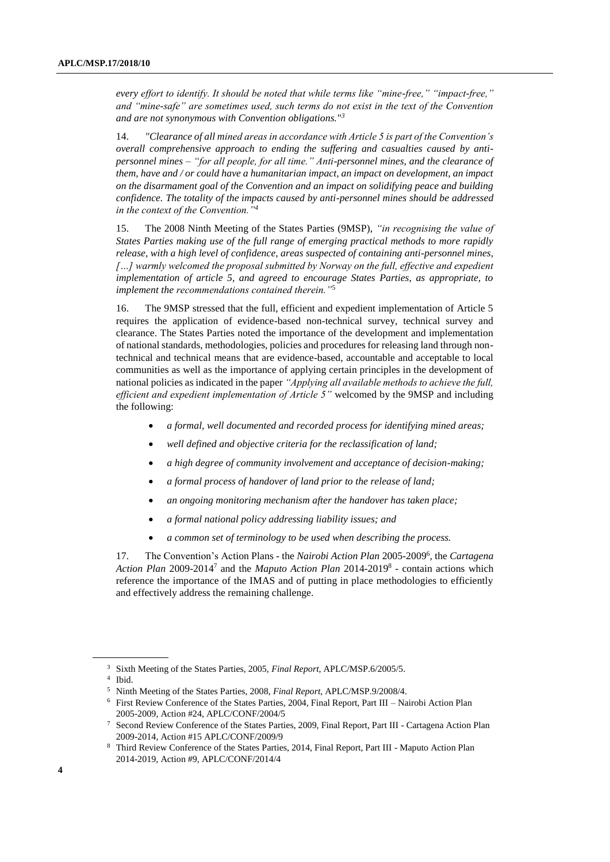*every effort to identify. It should be noted that while terms like "mine-free," "impact-free," and "mine-safe" are sometimes used, such terms do not exist in the text of the Convention and are not synonymous with Convention obligations."<sup>3</sup>*

14. *"Clearance of all mined areas in accordance with Article 5 is part of the Convention's overall comprehensive approach to ending the suffering and casualties caused by antipersonnel mines – "for all people, for all time." Anti-personnel mines, and the clearance of them, have and / or could have a humanitarian impact, an impact on development, an impact on the disarmament goal of the Convention and an impact on solidifying peace and building confidence. The totality of the impacts caused by anti-personnel mines should be addressed in the context of the Convention."<sup>4</sup>*

15. The 2008 Ninth Meeting of the States Parties (9MSP), *"in recognising the value of States Parties making use of the full range of emerging practical methods to more rapidly release, with a high level of confidence, areas suspected of containing anti-personnel mines, […] warmly welcomed the proposal submitted by Norway on the full, effective and expedient implementation of article 5, and agreed to encourage States Parties, as appropriate, to implement the recommendations contained therein."*<sup>5</sup>

16. The 9MSP stressed that the full, efficient and expedient implementation of Article 5 requires the application of evidence-based non-technical survey, technical survey and clearance. The States Parties noted the importance of the development and implementation of national standards, methodologies, policies and procedures for releasing land through nontechnical and technical means that are evidence-based, accountable and acceptable to local communities as well as the importance of applying certain principles in the development of national policies as indicated in the paper *"Applying all available methods to achieve the full, efficient and expedient implementation of Article 5"* welcomed by the 9MSP and including the following:

- *a formal, well documented and recorded process for identifying mined areas;*
- *well defined and objective criteria for the reclassification of land;*
- *a high degree of community involvement and acceptance of decision-making;*
- *a formal process of handover of land prior to the release of land;*
- *an ongoing monitoring mechanism after the handover has taken place;*
- *a formal national policy addressing liability issues; and*
- *a common set of terminology to be used when describing the process.*

17. The Convention's Action Plans - the *Nairobi Action Plan* 2005-2009<sup>6</sup> , the *Cartagena*  Action Plan 2009-2014<sup>7</sup> and the *Maputo Action Plan* 2014-2019<sup>8</sup> - contain actions which reference the importance of the IMAS and of putting in place methodologies to efficiently and effectively address the remaining challenge.

<sup>3</sup> Sixth Meeting of the States Parties, 2005, *Final Report*, APLC/MSP.6/2005/5.

<sup>4</sup> Ibid.

<sup>5</sup> Ninth Meeting of the States Parties, 2008, *Final Report*, APLC/MSP.9/2008/4.

<sup>6</sup> First Review Conference of the States Parties, 2004, Final Report, Part III – Nairobi Action Plan 2005-2009, Action #24, APLC/CONF/2004/5

<sup>7</sup> Second Review Conference of the States Parties, 2009, Final Report, Part III - Cartagena Action Plan 2009-2014, Action #15 APLC/CONF/2009/9

<sup>8</sup> Third Review Conference of the States Parties, 2014, Final Report, Part III - Maputo Action Plan 2014-2019, Action #9, APLC/CONF/2014/4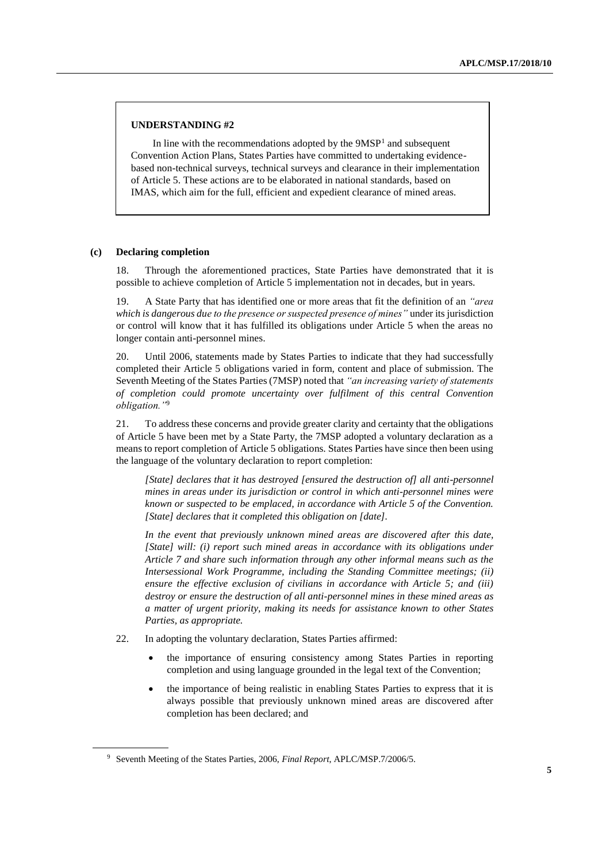#### **UNDERSTANDING #2**

In line with the recommendations adopted by the  $9MSP<sup>1</sup>$  and subsequent Convention Action Plans, States Parties have committed to undertaking evidencebased non-technical surveys, technical surveys and clearance in their implementation of Article 5. These actions are to be elaborated in national standards, based on IMAS, which aim for the full, efficient and expedient clearance of mined areas.

#### **(c) Declaring completion**

18. Through the aforementioned practices, State Parties have demonstrated that it is possible to achieve completion of Article 5 implementation not in decades, but in years.

19. A State Party that has identified one or more areas that fit the definition of an *"area which is dangerous due to the presence or suspected presence of mines"* under its jurisdiction or control will know that it has fulfilled its obligations under Article 5 when the areas no longer contain anti-personnel mines.

20. Until 2006, statements made by States Parties to indicate that they had successfully completed their Article 5 obligations varied in form, content and place of submission. The Seventh Meeting of the States Parties (7MSP) noted that *"an increasing variety of statements of completion could promote uncertainty over fulfilment of this central Convention obligation."*<sup>9</sup>

21. To address these concerns and provide greater clarity and certainty that the obligations of Article 5 have been met by a State Party, the 7MSP adopted a voluntary declaration as a means to report completion of Article 5 obligations. States Parties have since then been using the language of the voluntary declaration to report completion:

*[State] declares that it has destroyed [ensured the destruction of] all anti-personnel mines in areas under its jurisdiction or control in which anti-personnel mines were known or suspected to be emplaced, in accordance with Article 5 of the Convention. [State] declares that it completed this obligation on [date].*

*In the event that previously unknown mined areas are discovered after this date, [State] will: (i) report such mined areas in accordance with its obligations under Article 7 and share such information through any other informal means such as the Intersessional Work Programme, including the Standing Committee meetings; (ii) ensure the effective exclusion of civilians in accordance with Article 5; and (iii) destroy or ensure the destruction of all anti-personnel mines in these mined areas as a matter of urgent priority, making its needs for assistance known to other States Parties, as appropriate.*

- 22. In adopting the voluntary declaration, States Parties affirmed:
	- the importance of ensuring consistency among States Parties in reporting completion and using language grounded in the legal text of the Convention;
	- the importance of being realistic in enabling States Parties to express that it is always possible that previously unknown mined areas are discovered after completion has been declared; and

<sup>9</sup> Seventh Meeting of the States Parties, 2006, *Final Report*, APLC/MSP.7/2006/5.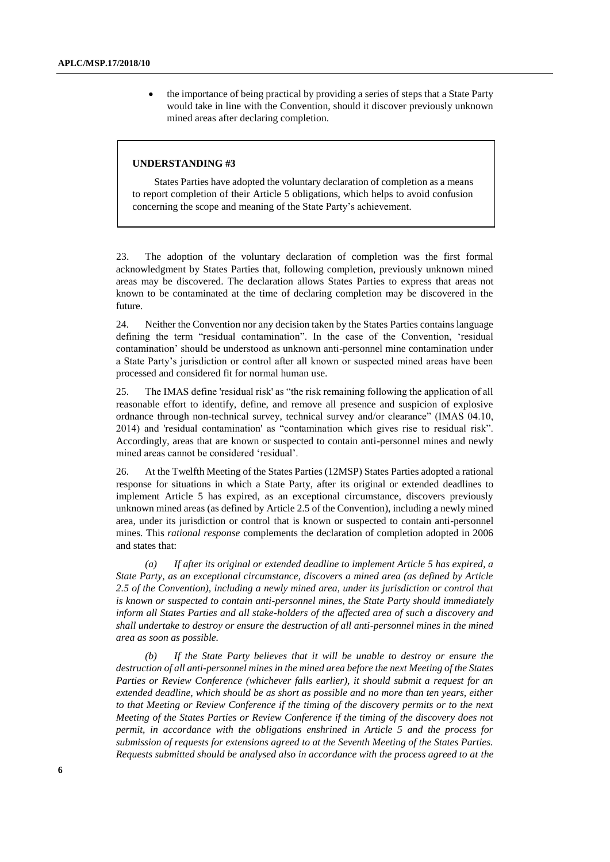the importance of being practical by providing a series of steps that a State Party would take in line with the Convention, should it discover previously unknown mined areas after declaring completion.

#### **UNDERSTANDING #3**

States Parties have adopted the voluntary declaration of completion as a means to report completion of their Article 5 obligations, which helps to avoid confusion concerning the scope and meaning of the State Party's achievement.

23. The adoption of the voluntary declaration of completion was the first formal acknowledgment by States Parties that, following completion, previously unknown mined areas may be discovered. The declaration allows States Parties to express that areas not known to be contaminated at the time of declaring completion may be discovered in the future.

24. Neither the Convention nor any decision taken by the States Parties contains language defining the term "residual contamination". In the case of the Convention, 'residual contamination' should be understood as unknown anti-personnel mine contamination under a State Party's jurisdiction or control after all known or suspected mined areas have been processed and considered fit for normal human use.

25. The IMAS define 'residual risk' as "the risk remaining following the application of all reasonable effort to identify, define, and remove all presence and suspicion of explosive ordnance through non-technical survey, technical survey and/or clearance" (IMAS 04.10, 2014) and 'residual contamination' as "contamination which gives rise to residual risk". Accordingly, areas that are known or suspected to contain anti-personnel mines and newly mined areas cannot be considered 'residual'.

26. At the Twelfth Meeting of the States Parties (12MSP) States Parties adopted a rational response for situations in which a State Party, after its original or extended deadlines to implement Article 5 has expired, as an exceptional circumstance, discovers previously unknown mined areas (as defined by Article 2.5 of the Convention), including a newly mined area, under its jurisdiction or control that is known or suspected to contain anti-personnel mines. This *rational response* complements the declaration of completion adopted in 2006 and states that:

*(a) If after its original or extended deadline to implement Article 5 has expired, a State Party, as an exceptional circumstance, discovers a mined area (as defined by Article 2.5 of the Convention), including a newly mined area, under its jurisdiction or control that is known or suspected to contain anti-personnel mines, the State Party should immediately inform all States Parties and all stake-holders of the affected area of such a discovery and shall undertake to destroy or ensure the destruction of all anti-personnel mines in the mined area as soon as possible.*

*(b) If the State Party believes that it will be unable to destroy or ensure the destruction of all anti-personnel mines in the mined area before the next Meeting of the States Parties or Review Conference (whichever falls earlier), it should submit a request for an extended deadline, which should be as short as possible and no more than ten years, either to that Meeting or Review Conference if the timing of the discovery permits or to the next Meeting of the States Parties or Review Conference if the timing of the discovery does not permit, in accordance with the obligations enshrined in Article 5 and the process for submission of requests for extensions agreed to at the Seventh Meeting of the States Parties. Requests submitted should be analysed also in accordance with the process agreed to at the*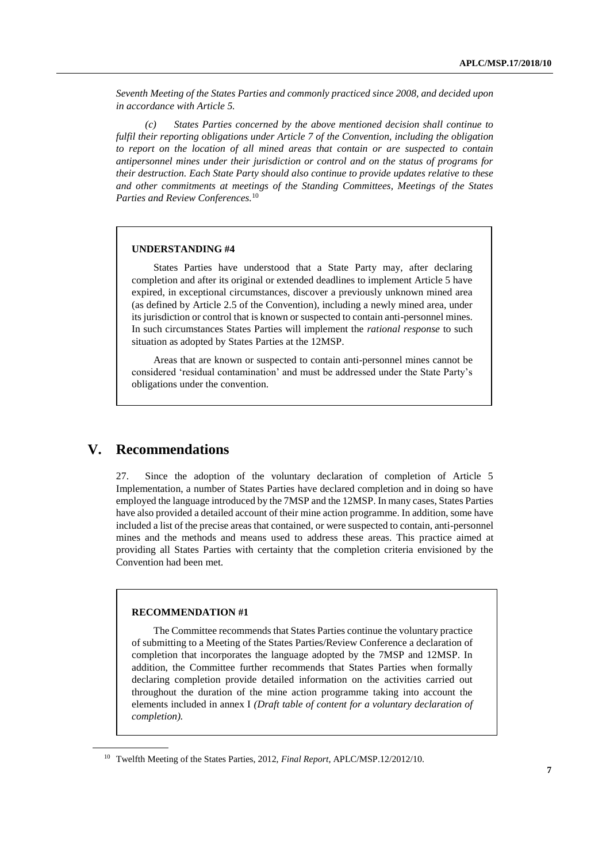*Seventh Meeting of the States Parties and commonly practiced since 2008, and decided upon in accordance with Article 5.*

*(c) States Parties concerned by the above mentioned decision shall continue to fulfil their reporting obligations under Article 7 of the Convention, including the obligation to report on the location of all mined areas that contain or are suspected to contain antipersonnel mines under their jurisdiction or control and on the status of programs for their destruction. Each State Party should also continue to provide updates relative to these and other commitments at meetings of the Standing Committees, Meetings of the States Parties and Review Conferences.*<sup>10</sup>

#### **UNDERSTANDING #4**

States Parties have understood that a State Party may, after declaring completion and after its original or extended deadlines to implement Article 5 have expired, in exceptional circumstances, discover a previously unknown mined area (as defined by Article 2.5 of the Convention), including a newly mined area, under its jurisdiction or control that is known or suspected to contain anti-personnel mines. In such circumstances States Parties will implement the *rational response* to such situation as adopted by States Parties at the 12MSP.

Areas that are known or suspected to contain anti-personnel mines cannot be considered 'residual contamination' and must be addressed under the State Party's obligations under the convention.

### **V. Recommendations**

27. Since the adoption of the voluntary declaration of completion of Article 5 Implementation, a number of States Parties have declared completion and in doing so have employed the language introduced by the 7MSP and the 12MSP. In many cases, States Parties have also provided a detailed account of their mine action programme. In addition, some have included a list of the precise areas that contained, or were suspected to contain, anti-personnel mines and the methods and means used to address these areas. This practice aimed at providing all States Parties with certainty that the completion criteria envisioned by the Convention had been met.

#### **RECOMMENDATION #1**

The Committee recommends that States Parties continue the voluntary practice of submitting to a Meeting of the States Parties/Review Conference a declaration of completion that incorporates the language adopted by the 7MSP and 12MSP. In addition, the Committee further recommends that States Parties when formally declaring completion provide detailed information on the activities carried out throughout the duration of the mine action programme taking into account the elements included in annex I *(Draft table of content for a voluntary declaration of completion).*

<sup>10</sup> Twelfth Meeting of the States Parties, 2012, *Final Report*, APLC/MSP.12/2012/10.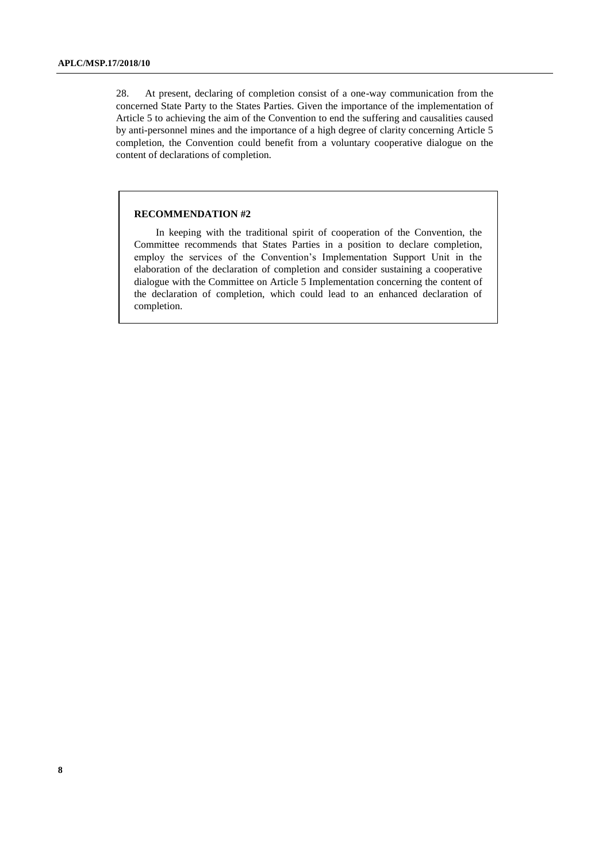28. At present, declaring of completion consist of a one-way communication from the concerned State Party to the States Parties. Given the importance of the implementation of Article 5 to achieving the aim of the Convention to end the suffering and causalities caused by anti-personnel mines and the importance of a high degree of clarity concerning Article 5 completion, the Convention could benefit from a voluntary cooperative dialogue on the content of declarations of completion.

#### **RECOMMENDATION #2**

In keeping with the traditional spirit of cooperation of the Convention, the Committee recommends that States Parties in a position to declare completion, employ the services of the Convention's Implementation Support Unit in the elaboration of the declaration of completion and consider sustaining a cooperative dialogue with the Committee on Article 5 Implementation concerning the content of the declaration of completion, which could lead to an enhanced declaration of completion.